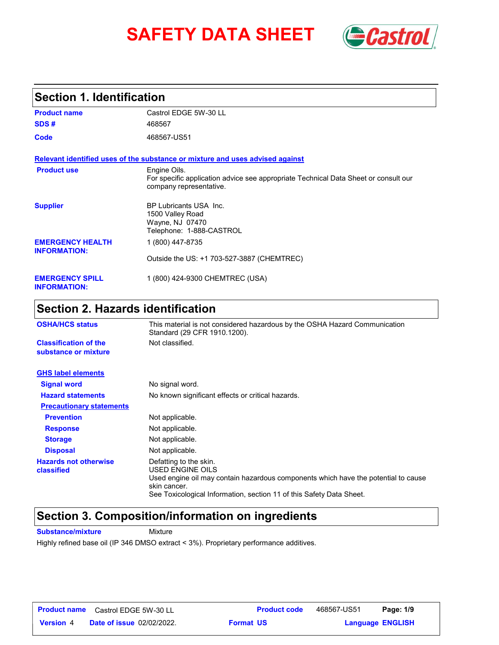# **SAFETY DATA SHEET** *Castrol*



### **Section 1. Identification**

| <b>Product name</b>                            | Castrol EDGE 5W-30 LL                                                                                                          |
|------------------------------------------------|--------------------------------------------------------------------------------------------------------------------------------|
| SDS#                                           | 468567                                                                                                                         |
| Code                                           | 468567-US51                                                                                                                    |
|                                                | Relevant identified uses of the substance or mixture and uses advised against                                                  |
| <b>Product use</b>                             | Engine Oils.<br>For specific application advice see appropriate Technical Data Sheet or consult our<br>company representative. |
| <b>Supplier</b>                                | <b>BP Lubricants USA Inc.</b><br>1500 Valley Road<br>Wayne, NJ 07470<br>Telephone: 1-888-CASTROL                               |
| <b>EMERGENCY HEALTH</b><br><b>INFORMATION:</b> | 1 (800) 447-8735                                                                                                               |
|                                                | Outside the US: +1 703-527-3887 (CHEMTREC)                                                                                     |
| <b>EMERGENCY SPILL</b><br><b>INFORMATION:</b>  | 1 (800) 424-9300 CHEMTREC (USA)                                                                                                |

## **Section 2. Hazards identification**

| <b>OSHA/HCS status</b>                               | This material is not considered hazardous by the OSHA Hazard Communication<br>Standard (29 CFR 1910.1200).                                                                                                               |
|------------------------------------------------------|--------------------------------------------------------------------------------------------------------------------------------------------------------------------------------------------------------------------------|
| <b>Classification of the</b><br>substance or mixture | Not classified.                                                                                                                                                                                                          |
| <b>GHS label elements</b>                            |                                                                                                                                                                                                                          |
| <b>Signal word</b>                                   | No signal word.                                                                                                                                                                                                          |
| <b>Hazard statements</b>                             | No known significant effects or critical hazards.                                                                                                                                                                        |
| <b>Precautionary statements</b>                      |                                                                                                                                                                                                                          |
| <b>Prevention</b>                                    | Not applicable.                                                                                                                                                                                                          |
| <b>Response</b>                                      | Not applicable.                                                                                                                                                                                                          |
| <b>Storage</b>                                       | Not applicable.                                                                                                                                                                                                          |
| <b>Disposal</b>                                      | Not applicable.                                                                                                                                                                                                          |
| <b>Hazards not otherwise</b><br>classified           | Defatting to the skin.<br>USED ENGINE OILS<br>Used engine oil may contain hazardous components which have the potential to cause<br>skin cancer.<br>See Toxicological Information, section 11 of this Safety Data Sheet. |

### **Section 3. Composition/information on ingredients**

**Substance/mixture Mixture** 

Highly refined base oil (IP 346 DMSO extract < 3%). Proprietary performance additives.

|                  | <b>Product name</b> Castrol EDGE 5W-30 LL | <b>Product code</b> | 468567-US51 | Page: 1/9               |  |
|------------------|-------------------------------------------|---------------------|-------------|-------------------------|--|
| <b>Version 4</b> | <b>Date of issue 02/02/2022.</b>          | <b>Format US</b>    |             | <b>Language ENGLISH</b> |  |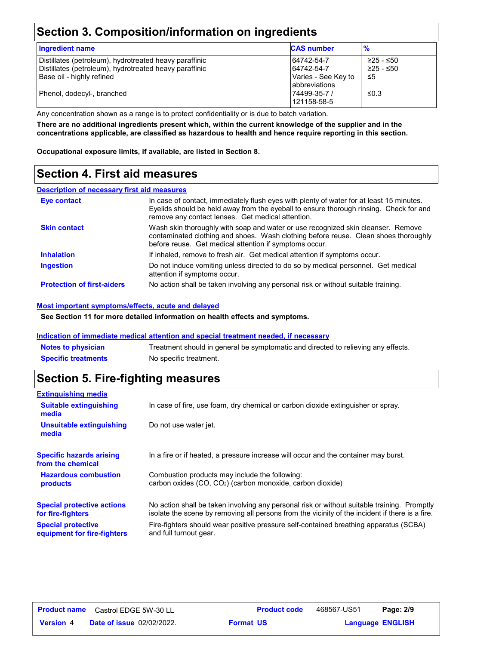## **Section 3. Composition/information on ingredients**

| <b>Ingredient name</b>                                                                                                                        | <b>CAS number</b>                                                       | $\frac{9}{6}$                |
|-----------------------------------------------------------------------------------------------------------------------------------------------|-------------------------------------------------------------------------|------------------------------|
| Distillates (petroleum), hydrotreated heavy paraffinic<br>Distillates (petroleum), hydrotreated heavy paraffinic<br>Base oil - highly refined | 64742-54-7<br>64742-54-7<br>Varies - See Key to<br><b>abbreviations</b> | ≥25 - ≤50<br>≥25 - ≤50<br>≤5 |
| Phenol, dodecyl-, branched                                                                                                                    | 74499-35-7 /<br>121158-58-5                                             | ≤0.3                         |

Any concentration shown as a range is to protect confidentiality or is due to batch variation.

**There are no additional ingredients present which, within the current knowledge of the supplier and in the concentrations applicable, are classified as hazardous to health and hence require reporting in this section.**

**Occupational exposure limits, if available, are listed in Section 8.**

## **Section 4. First aid measures**

#### **Description of necessary first aid measures**

| Eye contact                       | In case of contact, immediately flush eyes with plenty of water for at least 15 minutes.<br>Eyelids should be held away from the eyeball to ensure thorough rinsing. Check for and<br>remove any contact lenses. Get medical attention. |
|-----------------------------------|-----------------------------------------------------------------------------------------------------------------------------------------------------------------------------------------------------------------------------------------|
| <b>Skin contact</b>               | Wash skin thoroughly with soap and water or use recognized skin cleanser. Remove<br>contaminated clothing and shoes. Wash clothing before reuse. Clean shoes thoroughly<br>before reuse. Get medical attention if symptoms occur.       |
| <b>Inhalation</b>                 | If inhaled, remove to fresh air. Get medical attention if symptoms occur.                                                                                                                                                               |
| <b>Ingestion</b>                  | Do not induce vomiting unless directed to do so by medical personnel. Get medical<br>attention if symptoms occur.                                                                                                                       |
| <b>Protection of first-aiders</b> | No action shall be taken involving any personal risk or without suitable training.                                                                                                                                                      |

#### **Most important symptoms/effects, acute and delayed**

**See Section 11 for more detailed information on health effects and symptoms.**

#### **Indication of immediate medical attention and special treatment needed, if necessary**

| <b>Notes to physician</b>  | Treatment should in general be symptomatic and directed to relieving any effects. |
|----------------------------|-----------------------------------------------------------------------------------|
| <b>Specific treatments</b> | No specific treatment.                                                            |

### **Section 5. Fire-fighting measures**

| <b>Extinguishing media</b>                               |                                                                                                                                                                                                |
|----------------------------------------------------------|------------------------------------------------------------------------------------------------------------------------------------------------------------------------------------------------|
| <b>Suitable extinguishing</b><br>media                   | In case of fire, use foam, dry chemical or carbon dioxide extinguisher or spray.                                                                                                               |
| Unsuitable extinguishing<br>media                        | Do not use water jet.                                                                                                                                                                          |
| <b>Specific hazards arising</b><br>from the chemical     | In a fire or if heated, a pressure increase will occur and the container may burst.                                                                                                            |
| <b>Hazardous combustion</b><br>products                  | Combustion products may include the following:<br>carbon oxides $(CO, CO2)$ (carbon monoxide, carbon dioxide)                                                                                  |
| <b>Special protective actions</b><br>for fire-fighters   | No action shall be taken involving any personal risk or without suitable training. Promptly<br>isolate the scene by removing all persons from the vicinity of the incident if there is a fire. |
| <b>Special protective</b><br>equipment for fire-fighters | Fire-fighters should wear positive pressure self-contained breathing apparatus (SCBA)<br>and full turnout gear.                                                                                |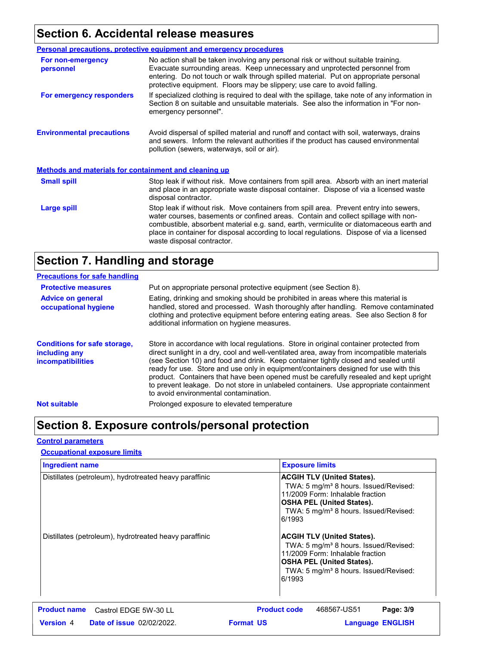## **Section 6. Accidental release measures**

|                                                              | <b>Personal precautions, protective equipment and emergency procedures</b>                                                                                                                                                                                                                                                                                                                         |
|--------------------------------------------------------------|----------------------------------------------------------------------------------------------------------------------------------------------------------------------------------------------------------------------------------------------------------------------------------------------------------------------------------------------------------------------------------------------------|
| For non-emergency<br>personnel                               | No action shall be taken involving any personal risk or without suitable training.<br>Evacuate surrounding areas. Keep unnecessary and unprotected personnel from<br>entering. Do not touch or walk through spilled material. Put on appropriate personal<br>protective equipment. Floors may be slippery; use care to avoid falling.                                                              |
| For emergency responders                                     | If specialized clothing is required to deal with the spillage, take note of any information in<br>Section 8 on suitable and unsuitable materials. See also the information in "For non-<br>emergency personnel".                                                                                                                                                                                   |
| <b>Environmental precautions</b>                             | Avoid dispersal of spilled material and runoff and contact with soil, waterways, drains<br>and sewers. Inform the relevant authorities if the product has caused environmental<br>pollution (sewers, waterways, soil or air).                                                                                                                                                                      |
| <b>Methods and materials for containment and cleaning up</b> |                                                                                                                                                                                                                                                                                                                                                                                                    |
| <b>Small spill</b>                                           | Stop leak if without risk. Move containers from spill area. Absorb with an inert material<br>and place in an appropriate waste disposal container. Dispose of via a licensed waste<br>disposal contractor.                                                                                                                                                                                         |
| Large spill                                                  | Stop leak if without risk. Move containers from spill area. Prevent entry into sewers,<br>water courses, basements or confined areas. Contain and collect spillage with non-<br>combustible, absorbent material e.g. sand, earth, vermiculite or diatomaceous earth and<br>place in container for disposal according to local regulations. Dispose of via a licensed<br>waste disposal contractor. |

## **Section 7. Handling and storage**

| <b>Precautions for safe handling</b>                                             |                                                                                                                                                                                                                                                                                                                                                                                                                                                                                                                                                                                               |
|----------------------------------------------------------------------------------|-----------------------------------------------------------------------------------------------------------------------------------------------------------------------------------------------------------------------------------------------------------------------------------------------------------------------------------------------------------------------------------------------------------------------------------------------------------------------------------------------------------------------------------------------------------------------------------------------|
| <b>Protective measures</b>                                                       | Put on appropriate personal protective equipment (see Section 8).                                                                                                                                                                                                                                                                                                                                                                                                                                                                                                                             |
| <b>Advice on general</b><br>occupational hygiene                                 | Eating, drinking and smoking should be prohibited in areas where this material is<br>handled, stored and processed. Wash thoroughly after handling. Remove contaminated<br>clothing and protective equipment before entering eating areas. See also Section 8 for<br>additional information on hygiene measures.                                                                                                                                                                                                                                                                              |
| <b>Conditions for safe storage,</b><br>including any<br><b>incompatibilities</b> | Store in accordance with local regulations. Store in original container protected from<br>direct sunlight in a dry, cool and well-ventilated area, away from incompatible materials<br>(see Section 10) and food and drink. Keep container tightly closed and sealed until<br>ready for use. Store and use only in equipment/containers designed for use with this<br>product. Containers that have been opened must be carefully resealed and kept upright<br>to prevent leakage. Do not store in unlabeled containers. Use appropriate containment<br>to avoid environmental contamination. |
| <b>Not suitable</b>                                                              | Prolonged exposure to elevated temperature                                                                                                                                                                                                                                                                                                                                                                                                                                                                                                                                                    |

## **Section 8. Exposure controls/personal protection**

#### **Control parameters**

#### **Occupational exposure limits**

| <b>Ingredient name</b>                                 | <b>Exposure limits</b>                                                                                                                                                                                                        |
|--------------------------------------------------------|-------------------------------------------------------------------------------------------------------------------------------------------------------------------------------------------------------------------------------|
| Distillates (petroleum), hydrotreated heavy paraffinic | <b>ACGIH TLV (United States).</b><br>TWA: 5 mg/m <sup>3</sup> 8 hours. Issued/Revised:<br>11/2009 Form: Inhalable fraction<br><b>OSHA PEL (United States).</b><br>TWA: 5 mg/m <sup>3</sup> 8 hours. Issued/Revised:<br>6/1993 |
| Distillates (petroleum), hydrotreated heavy paraffinic | <b>ACGIH TLV (United States).</b><br>TWA: 5 mg/m <sup>3</sup> 8 hours. Issued/Revised:<br>11/2009 Form: Inhalable fraction<br><b>OSHA PEL (United States).</b><br>TWA: 5 mg/m <sup>3</sup> 8 hours. Issued/Revised:<br>6/1993 |
| <b>Product name</b><br>Castrol EDGE 5W-30 LL           | <b>Product code</b><br>468567-US51<br>Page: 3/9                                                                                                                                                                               |
| <b>Version 4</b><br><b>Date of issue 02/02/2022.</b>   | <b>Format US</b><br><b>Language ENGLISH</b>                                                                                                                                                                                   |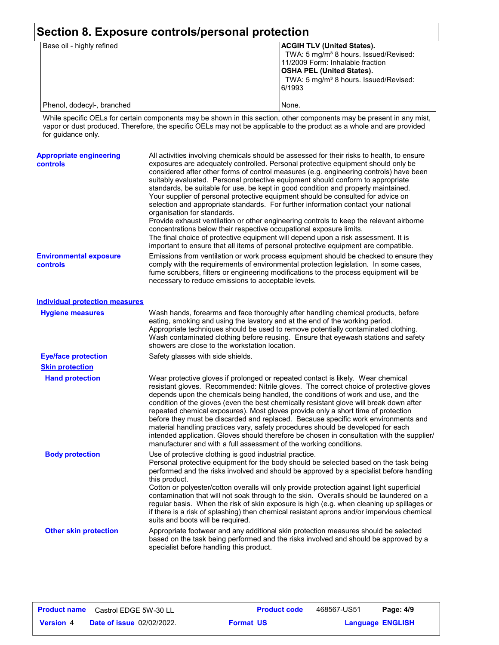| Section 8. Exposure controls/personal protection |                                                                                                                                                                                                                               |  |
|--------------------------------------------------|-------------------------------------------------------------------------------------------------------------------------------------------------------------------------------------------------------------------------------|--|
| Base oil - highly refined                        | <b>ACGIH TLV (United States).</b><br>TWA: 5 mg/m <sup>3</sup> 8 hours. Issued/Revised:<br>11/2009 Form: Inhalable fraction<br><b>OSHA PEL (United States).</b><br>TWA: 5 mg/m <sup>3</sup> 8 hours. Issued/Revised:<br>6/1993 |  |
| Phenol, dodecyl-, branched                       | None.                                                                                                                                                                                                                         |  |

While specific OELs for certain components may be shown in this section, other components may be present in any mist, vapor or dust produced. Therefore, the specific OELs may not be applicable to the product as a whole and are provided for guidance only.

| <b>Appropriate engineering</b><br><b>controls</b> | All activities involving chemicals should be assessed for their risks to health, to ensure<br>exposures are adequately controlled. Personal protective equipment should only be<br>considered after other forms of control measures (e.g. engineering controls) have been<br>suitably evaluated. Personal protective equipment should conform to appropriate<br>standards, be suitable for use, be kept in good condition and properly maintained.<br>Your supplier of personal protective equipment should be consulted for advice on<br>selection and appropriate standards. For further information contact your national<br>organisation for standards.<br>Provide exhaust ventilation or other engineering controls to keep the relevant airborne<br>concentrations below their respective occupational exposure limits.<br>The final choice of protective equipment will depend upon a risk assessment. It is<br>important to ensure that all items of personal protective equipment are compatible. |
|---------------------------------------------------|------------------------------------------------------------------------------------------------------------------------------------------------------------------------------------------------------------------------------------------------------------------------------------------------------------------------------------------------------------------------------------------------------------------------------------------------------------------------------------------------------------------------------------------------------------------------------------------------------------------------------------------------------------------------------------------------------------------------------------------------------------------------------------------------------------------------------------------------------------------------------------------------------------------------------------------------------------------------------------------------------------|
| <b>Environmental exposure</b><br>controls         | Emissions from ventilation or work process equipment should be checked to ensure they<br>comply with the requirements of environmental protection legislation. In some cases,<br>fume scrubbers, filters or engineering modifications to the process equipment will be<br>necessary to reduce emissions to acceptable levels.                                                                                                                                                                                                                                                                                                                                                                                                                                                                                                                                                                                                                                                                              |
| <b>Individual protection measures</b>             |                                                                                                                                                                                                                                                                                                                                                                                                                                                                                                                                                                                                                                                                                                                                                                                                                                                                                                                                                                                                            |
| <b>Hygiene measures</b>                           | Wash hands, forearms and face thoroughly after handling chemical products, before<br>eating, smoking and using the lavatory and at the end of the working period.<br>Appropriate techniques should be used to remove potentially contaminated clothing.<br>Wash contaminated clothing before reusing. Ensure that eyewash stations and safety<br>showers are close to the workstation location.                                                                                                                                                                                                                                                                                                                                                                                                                                                                                                                                                                                                            |
| <b>Eye/face protection</b>                        | Safety glasses with side shields.                                                                                                                                                                                                                                                                                                                                                                                                                                                                                                                                                                                                                                                                                                                                                                                                                                                                                                                                                                          |
| <b>Skin protection</b>                            |                                                                                                                                                                                                                                                                                                                                                                                                                                                                                                                                                                                                                                                                                                                                                                                                                                                                                                                                                                                                            |
| <b>Hand protection</b>                            | Wear protective gloves if prolonged or repeated contact is likely. Wear chemical<br>resistant gloves. Recommended: Nitrile gloves. The correct choice of protective gloves<br>depends upon the chemicals being handled, the conditions of work and use, and the<br>condition of the gloves (even the best chemically resistant glove will break down after<br>repeated chemical exposures). Most gloves provide only a short time of protection<br>before they must be discarded and replaced. Because specific work environments and<br>material handling practices vary, safety procedures should be developed for each<br>intended application. Gloves should therefore be chosen in consultation with the supplier/<br>manufacturer and with a full assessment of the working conditions.                                                                                                                                                                                                              |
| <b>Body protection</b>                            | Use of protective clothing is good industrial practice.<br>Personal protective equipment for the body should be selected based on the task being<br>performed and the risks involved and should be approved by a specialist before handling<br>this product.<br>Cotton or polyester/cotton overalls will only provide protection against light superficial<br>contamination that will not soak through to the skin. Overalls should be laundered on a<br>regular basis. When the risk of skin exposure is high (e.g. when cleaning up spillages or<br>if there is a risk of splashing) then chemical resistant aprons and/or impervious chemical<br>suits and boots will be required.                                                                                                                                                                                                                                                                                                                      |
| <b>Other skin protection</b>                      | Appropriate footwear and any additional skin protection measures should be selected<br>based on the task being performed and the risks involved and should be approved by a<br>specialist before handling this product.                                                                                                                                                                                                                                                                                                                                                                                                                                                                                                                                                                                                                                                                                                                                                                                    |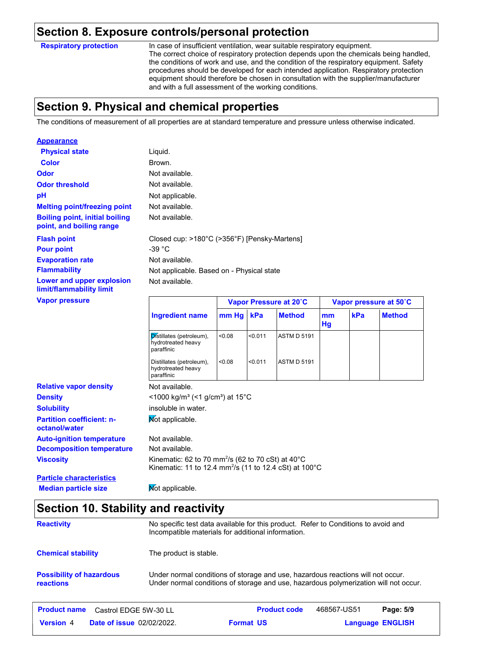### **Section 8. Exposure controls/personal protection**

**Respiratory protection**

In case of insufficient ventilation, wear suitable respiratory equipment. The correct choice of respiratory protection depends upon the chemicals being handled, the conditions of work and use, and the condition of the respiratory equipment. Safety procedures should be developed for each intended application. Respiratory protection equipment should therefore be chosen in consultation with the supplier/manufacturer and with a full assessment of the working conditions.

## **Section 9. Physical and chemical properties**

The conditions of measurement of all properties are at standard temperature and pressure unless otherwise indicated.

| <b>Appearance</b>                                                 |                                           |                                              |                        |
|-------------------------------------------------------------------|-------------------------------------------|----------------------------------------------|------------------------|
| <b>Physical state</b>                                             | Liquid.                                   |                                              |                        |
| <b>Color</b>                                                      | Brown.                                    |                                              |                        |
| <b>Odor</b>                                                       | Not available.                            |                                              |                        |
| <b>Odor threshold</b>                                             | Not available.                            |                                              |                        |
| pH                                                                | Not applicable.                           |                                              |                        |
| <b>Melting point/freezing point</b>                               | Not available.                            |                                              |                        |
| <b>Boiling point, initial boiling</b><br>point, and boiling range | Not available.                            |                                              |                        |
| <b>Flash point</b><br><b>Pour point</b>                           | -39 $^{\circ}$ C                          | Closed cup: >180°C (>356°F) [Pensky-Martens] |                        |
| <b>Evaporation rate</b>                                           | Not available.                            |                                              |                        |
| <b>Flammability</b>                                               | Not applicable. Based on - Physical state |                                              |                        |
| Lower and upper explosion<br>limit/flammability limit             | Not available.                            |                                              |                        |
| <b>Vapor pressure</b>                                             |                                           | Vapor Pressure at 20°C                       | Vapor pressure at 50°C |
|                                                                   |                                           |                                              |                        |

|                                                   | <b>Ingredient name</b>                                                                                                                         | $mm$ Hq | kPa     | <b>Method</b>      | mm<br>Hg | kPa | <b>Method</b> |
|---------------------------------------------------|------------------------------------------------------------------------------------------------------------------------------------------------|---------|---------|--------------------|----------|-----|---------------|
|                                                   | Distillates (petroleum),<br>hydrotreated heavy<br>paraffinic                                                                                   | < 0.08  | < 0.011 | <b>ASTM D 5191</b> |          |     |               |
|                                                   | Distillates (petroleum),<br>hydrotreated heavy<br>paraffinic                                                                                   | < 0.08  | < 0.011 | <b>ASTM D 5191</b> |          |     |               |
| <b>Relative vapor density</b>                     | Not available.                                                                                                                                 |         |         |                    |          |     |               |
| <b>Density</b>                                    | $\leq$ 1000 kg/m <sup>3</sup> (<1 g/cm <sup>3</sup> ) at 15 <sup>°</sup> C                                                                     |         |         |                    |          |     |               |
| <b>Solubility</b>                                 | insoluble in water.                                                                                                                            |         |         |                    |          |     |               |
| <b>Partition coefficient: n-</b><br>octanol/water | Mot applicable.                                                                                                                                |         |         |                    |          |     |               |
| <b>Auto-ignition temperature</b>                  | Not available.                                                                                                                                 |         |         |                    |          |     |               |
| <b>Decomposition temperature</b>                  | Not available.                                                                                                                                 |         |         |                    |          |     |               |
| <b>Viscosity</b>                                  | Kinematic: 62 to 70 mm <sup>2</sup> /s (62 to 70 cSt) at 40 $^{\circ}$ C<br>Kinematic: 11 to 12.4 mm <sup>2</sup> /s (11 to 12.4 cSt) at 100°C |         |         |                    |          |     |               |
| <b>Particle characteristics</b>                   |                                                                                                                                                |         |         |                    |          |     |               |

**Median particle size Mot applicable.** 

### **Section 10. Stability and reactivity**

| <b>Reactivity</b>                            | No specific test data available for this product. Refer to Conditions to avoid and<br>Incompatible materials for additional information.                                |
|----------------------------------------------|-------------------------------------------------------------------------------------------------------------------------------------------------------------------------|
| <b>Chemical stability</b>                    | The product is stable.                                                                                                                                                  |
| <b>Possibility of hazardous</b><br>reactions | Under normal conditions of storage and use, hazardous reactions will not occur.<br>Under normal conditions of storage and use, hazardous polymerization will not occur. |

| Product name     | Castrol EDGE 5W-30 LL            | <b>Product code</b> | 468567-US51 | Page: 5/9               |
|------------------|----------------------------------|---------------------|-------------|-------------------------|
| <b>Version</b> 4 | <b>Date of issue 02/02/2022.</b> | <b>Format US</b>    |             | <b>Language ENGLISH</b> |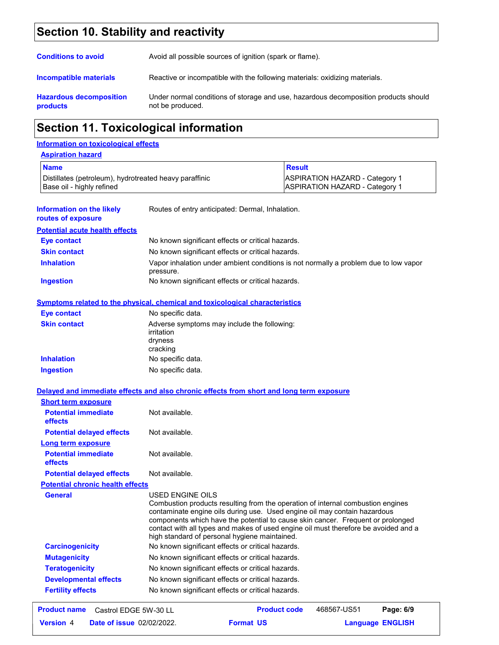## **Section 10. Stability and reactivity**

| <b>Conditions to avoid</b>                        | Avoid all possible sources of ignition (spark or flame).                                                |
|---------------------------------------------------|---------------------------------------------------------------------------------------------------------|
| <b>Incompatible materials</b>                     | Reactive or incompatible with the following materials: oxidizing materials.                             |
| <b>Hazardous decomposition</b><br><b>products</b> | Under normal conditions of storage and use, hazardous decomposition products should<br>not be produced. |

## **Section 11. Toxicological information**

#### **Information on toxicological effects**

| <b>Aspiration hazard</b> |
|--------------------------|
|--------------------------|

| <b>Name</b>                                                                         |                                                                                                                                                                                                                                   | <b>Result</b>                                                                                                                                                          |  |
|-------------------------------------------------------------------------------------|-----------------------------------------------------------------------------------------------------------------------------------------------------------------------------------------------------------------------------------|------------------------------------------------------------------------------------------------------------------------------------------------------------------------|--|
| Distillates (petroleum), hydrotreated heavy paraffinic<br>Base oil - highly refined |                                                                                                                                                                                                                                   | <b>ASPIRATION HAZARD - Category 1</b><br><b>ASPIRATION HAZARD - Category 1</b>                                                                                         |  |
| <b>Information on the likely</b><br>routes of exposure                              | Routes of entry anticipated: Dermal, Inhalation.                                                                                                                                                                                  |                                                                                                                                                                        |  |
| <b>Potential acute health effects</b>                                               |                                                                                                                                                                                                                                   |                                                                                                                                                                        |  |
| <b>Eye contact</b>                                                                  | No known significant effects or critical hazards.                                                                                                                                                                                 |                                                                                                                                                                        |  |
| <b>Skin contact</b>                                                                 | No known significant effects or critical hazards.                                                                                                                                                                                 |                                                                                                                                                                        |  |
| <b>Inhalation</b>                                                                   | pressure.                                                                                                                                                                                                                         | Vapor inhalation under ambient conditions is not normally a problem due to low vapor                                                                                   |  |
| <b>Ingestion</b>                                                                    | No known significant effects or critical hazards.                                                                                                                                                                                 |                                                                                                                                                                        |  |
|                                                                                     | <b>Symptoms related to the physical, chemical and toxicological characteristics</b>                                                                                                                                               |                                                                                                                                                                        |  |
| <b>Eye contact</b>                                                                  | No specific data.                                                                                                                                                                                                                 |                                                                                                                                                                        |  |
| <b>Skin contact</b>                                                                 | Adverse symptoms may include the following:<br>irritation<br>dryness<br>cracking                                                                                                                                                  |                                                                                                                                                                        |  |
| <b>Inhalation</b>                                                                   | No specific data.                                                                                                                                                                                                                 |                                                                                                                                                                        |  |
| <b>Ingestion</b>                                                                    | No specific data.                                                                                                                                                                                                                 |                                                                                                                                                                        |  |
|                                                                                     | Delayed and immediate effects and also chronic effects from short and long term exposure                                                                                                                                          |                                                                                                                                                                        |  |
|                                                                                     |                                                                                                                                                                                                                                   |                                                                                                                                                                        |  |
| <b>Short term exposure</b>                                                          |                                                                                                                                                                                                                                   |                                                                                                                                                                        |  |
| <b>Potential immediate</b><br>effects                                               | Not available.                                                                                                                                                                                                                    |                                                                                                                                                                        |  |
| <b>Potential delayed effects</b>                                                    | Not available.                                                                                                                                                                                                                    |                                                                                                                                                                        |  |
| Long term exposure                                                                  |                                                                                                                                                                                                                                   |                                                                                                                                                                        |  |
| <b>Potential immediate</b><br>effects                                               | Not available.                                                                                                                                                                                                                    |                                                                                                                                                                        |  |
| <b>Potential delayed effects</b>                                                    | Not available.                                                                                                                                                                                                                    |                                                                                                                                                                        |  |
| <b>Potential chronic health effects</b>                                             |                                                                                                                                                                                                                                   |                                                                                                                                                                        |  |
| <b>General</b>                                                                      | USED ENGINE OILS<br>Combustion products resulting from the operation of internal combustion engines<br>contaminate engine oils during use. Used engine oil may contain hazardous<br>high standard of personal hygiene maintained. | components which have the potential to cause skin cancer. Frequent or prolonged<br>contact with all types and makes of used engine oil must therefore be avoided and a |  |
| <b>Carcinogenicity</b>                                                              | No known significant effects or critical hazards.                                                                                                                                                                                 |                                                                                                                                                                        |  |
| <b>Mutagenicity</b>                                                                 | No known significant effects or critical hazards.                                                                                                                                                                                 |                                                                                                                                                                        |  |
| <b>Teratogenicity</b>                                                               | No known significant effects or critical hazards.                                                                                                                                                                                 |                                                                                                                                                                        |  |
| <b>Developmental effects</b>                                                        | No known significant effects or critical hazards.                                                                                                                                                                                 |                                                                                                                                                                        |  |

|                  | <b>Product name</b> Castrol EDGE 5W-30 LL |                  | <b>Product code</b> | 468567-US51             | Page: 6/9 |  |
|------------------|-------------------------------------------|------------------|---------------------|-------------------------|-----------|--|
| <b>Version 4</b> | <b>Date of issue 02/02/2022.</b>          | <b>Format US</b> |                     | <b>Language ENGLISH</b> |           |  |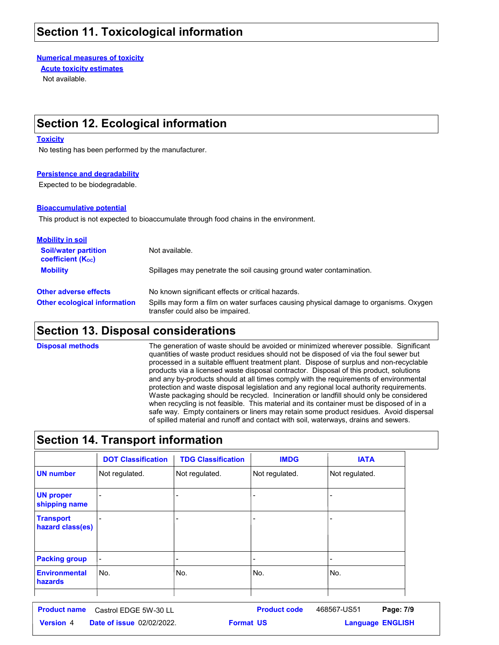## **Section 11. Toxicological information**

**Numerical measures of toxicity**

**Acute toxicity estimates**

Not available.

## **Section 12. Ecological information**

#### **Toxicity**

No testing has been performed by the manufacturer.

#### **Persistence and degradability**

Expected to be biodegradable.

#### **Bioaccumulative potential**

This product is not expected to bioaccumulate through food chains in the environment.

| <b>Mobility in soil</b>                                 |                                                                                                                           |
|---------------------------------------------------------|---------------------------------------------------------------------------------------------------------------------------|
| <b>Soil/water partition</b><br><b>coefficient (Koc)</b> | Not available.                                                                                                            |
| <b>Mobility</b>                                         | Spillages may penetrate the soil causing ground water contamination.                                                      |
| <b>Other adverse effects</b>                            | No known significant effects or critical hazards.                                                                         |
| <b>Other ecological information</b>                     | Spills may form a film on water surfaces causing physical damage to organisms. Oxygen<br>transfer could also be impaired. |

### **Section 13. Disposal considerations**

The generation of waste should be avoided or minimized wherever possible. Significant quantities of waste product residues should not be disposed of via the foul sewer but processed in a suitable effluent treatment plant. Dispose of surplus and non-recyclable products via a licensed waste disposal contractor. Disposal of this product, solutions and any by-products should at all times comply with the requirements of environmental protection and waste disposal legislation and any regional local authority requirements. Waste packaging should be recycled. Incineration or landfill should only be considered when recycling is not feasible. This material and its container must be disposed of in a safe way. Empty containers or liners may retain some product residues. Avoid dispersal of spilled material and runoff and contact with soil, waterways, drains and sewers. **Disposal methods**

## **Section 14. Transport information**

| <b>DOT Classification</b> | <b>TDG Classification</b> | <b>IMDG</b>              | <b>IATA</b>                  |
|---------------------------|---------------------------|--------------------------|------------------------------|
| Not regulated.            | Not regulated.            | Not regulated.           | Not regulated.               |
|                           |                           | ٠                        | $\overline{\phantom{0}}$     |
|                           |                           | $\overline{\phantom{0}}$ | $\overline{\phantom{0}}$     |
|                           |                           |                          | $\qquad \qquad \blacksquare$ |
| No.                       | No.                       | No.                      | No.                          |
|                           |                           |                          |                              |

**Date of issue** 02/02/2022. **Version** 4 **Format Language Product name** Castrol EDGE 5W-30 LL **Product code** 468567-US51 **Page: 7/9 Language ENGLISH** 468567-US51 Page: 7/9 **Format US**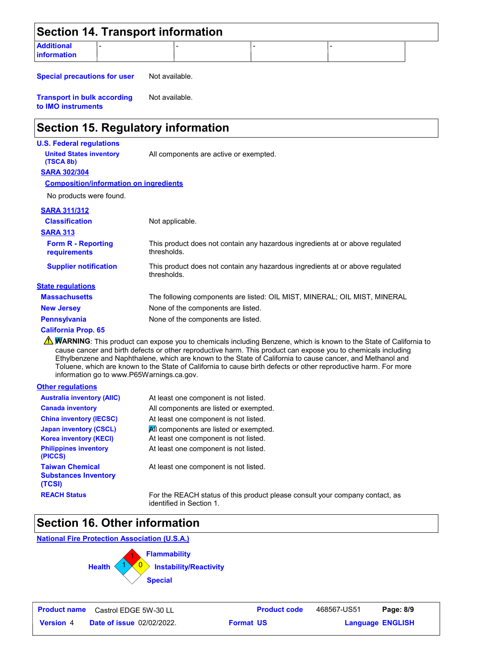|                                         | <b>Section 14. Transport information</b> |  |  |
|-----------------------------------------|------------------------------------------|--|--|
| <b>Additional</b><br><b>information</b> |                                          |  |  |

**Special precautions for user** Not available.

**Transport in bulk according to IMO instruments** Not available.

## **Section 15. Regulatory information**

#### **U.S. Federal regulations**

**United States inventory** All components are active or exempted.

**SARA 302/304 (TSCA 8b)**

#### **Composition/information on ingredients**

No products were found.

#### **SARA 311/312**

| <b>Classification</b>                        | Not applicable.                                                                              |
|----------------------------------------------|----------------------------------------------------------------------------------------------|
| <b>SARA 313</b><br><b>Form R - Reporting</b> | This product does not contain any hazardous ingredients at or above regulated                |
| <b>requirements</b>                          | thresholds.                                                                                  |
| <b>Supplier notification</b>                 | This product does not contain any hazardous ingredients at or above regulated<br>thresholds. |
| <b>State regulations</b>                     |                                                                                              |
| <b>Massachusetts</b>                         | The following components are listed: OIL MIST, MINERAL; OIL MIST, MINERAL                    |
| <b>New Jersey</b>                            | None of the components are listed.                                                           |
| <b>Pennsylvania</b>                          | None of the components are listed.                                                           |

#### **California Prop. 65**

WARNING: This product can expose you to chemicals including Benzene, which is known to the State of California to cause cancer and birth defects or other reproductive harm. This product can expose you to chemicals including Ethylbenzene and Naphthalene, which are known to the State of California to cause cancer, and Methanol and Toluene, which are known to the State of California to cause birth defects or other reproductive harm. For more information go to www.P65Warnings.ca.gov.

#### **Other regulations**

| <b>Australia inventory (AIIC)</b>                               | At least one component is not listed.                                           |
|-----------------------------------------------------------------|---------------------------------------------------------------------------------|
| <b>Canada inventory</b>                                         | All components are listed or exempted.                                          |
| <b>China inventory (IECSC)</b>                                  | At least one component is not listed.                                           |
| <b>Japan inventory (CSCL)</b><br><b>Korea inventory (KECI)</b>  | All components are listed or exempted.<br>At least one component is not listed. |
| <b>Philippines inventory</b><br>(PICCS)                         | At least one component is not listed.                                           |
| <b>Taiwan Chemical</b><br><b>Substances Inventory</b><br>(TCSI) | At least one component is not listed.                                           |
| <b>REACH Status</b>                                             | For the REACH status of this product please co<br>identified in Cention 1       |

**Reach Status For the Reach status** in this product, as identified in Section 1.

## **Section 16. Other information**

**National Fire Protection Association (U.S.A.)**



**Language ENGLISH**